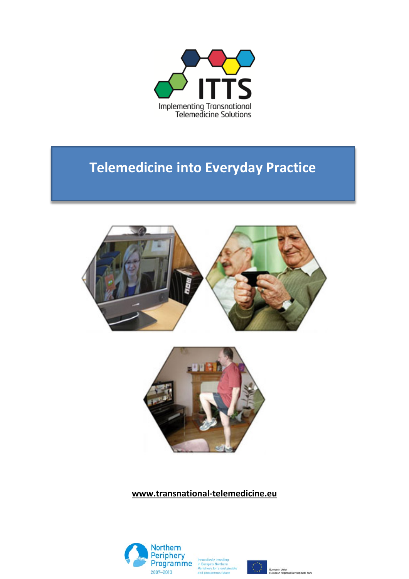

## **Telemedicine into Everyday Practice**





**www.transnational-telemedicine.eu**



n Europe's Northern<br><sup>1</sup>eriphery for a sustainable



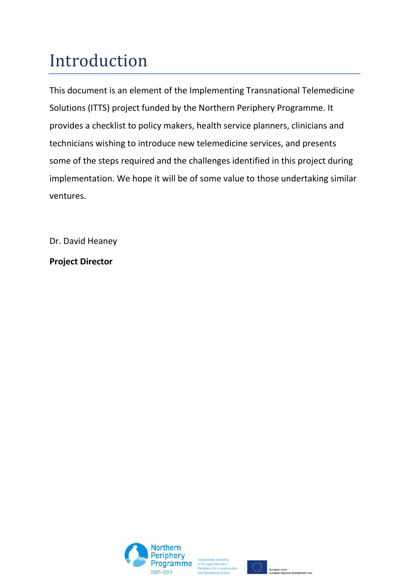# Introduction

This document is an element of the Implementing Transnational Telemedicine Solutions (ITTS) project funded by the Northern Periphery Programme. It provides a checklist to policy makers, health service planners, clinicians and technicians wishing to introduce new telemedicine services, and presents some of the steps required and the challenges identified in this project during implementation. We hope it will be of some value to those undertaking similar ventures.

Dr. David Heaney

**Project Director**





 $\begin{array}{ccccc} &\bullet &\bullet &\bullet &\bullet\\ &\bullet &\bullet&&\\ &\bullet&&\bullet&&\\ &\bullet&&\bullet&&\\ &\bullet&&\bullet&&\\ &\bullet&&\bullet&&\\ &\bullet&&\bullet&&\\ &\bullet&&\bullet&&\\ &\bullet&&\bullet&&\\ &\bullet&&\bullet&&\\ &\bullet&&\bullet&&\\ &\bullet&&\bullet&&\\ \end{array}$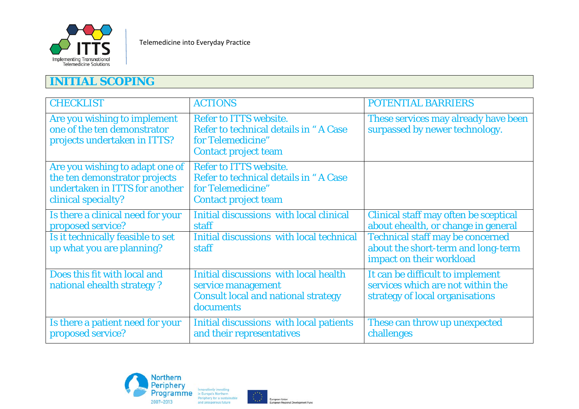

## **INITIAL SCOPING**

| <b>CHECKLIST</b>                                                                                                          | <b>ACTIONS</b>                                                                                                             | <b>POTENTIAL BARRIERS</b>                                                                                 |
|---------------------------------------------------------------------------------------------------------------------------|----------------------------------------------------------------------------------------------------------------------------|-----------------------------------------------------------------------------------------------------------|
| Are you wishing to implement<br>one of the ten demonstrator<br>projects undertaken in ITTS?                               | <b>Refer to ITTS website.</b><br>Refer to technical details in "A Case<br>for Telemedicine"<br><b>Contact project team</b> | These services may already have been<br>surpassed by newer technology.                                    |
| Are you wishing to adapt one of<br>the ten demonstrator projects<br>undertaken in ITTS for another<br>clinical specialty? | Refer to ITTS website.<br>Refer to technical details in "A Case<br>for Telemedicine"<br><b>Contact project team</b>        |                                                                                                           |
| Is there a clinical need for your<br>proposed service?                                                                    | Initial discussions with local clinical<br>staff                                                                           | Clinical staff may often be sceptical<br>about ehealth, or change in general                              |
| Is it technically feasible to set<br>up what you are planning?                                                            | Initial discussions with local technical<br>staff                                                                          | <b>Technical staff may be concerned</b><br>about the short-term and long-term<br>impact on their workload |
| Does this fit with local and<br>national ehealth strategy?                                                                | Initial discussions with local health<br>service management<br><b>Consult local and national strategy</b><br>documents     | It can be difficult to implement<br>services which are not within the<br>strategy of local organisations  |
| Is there a patient need for your<br>proposed service?                                                                     | Initial discussions with local patients<br>and their representatives                                                       | These can throw up unexpected<br>challenges                                                               |



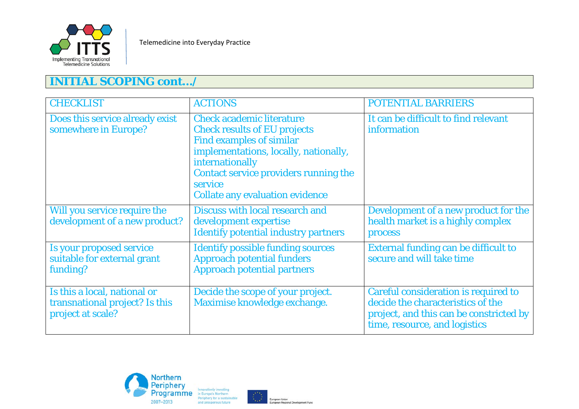

## **INITIAL SCOPING cont…/**

| <b>CHECKLIST</b>                                                                    | <b>ACTIONS</b>                                                                                                                                                                                                                                                       | <b>POTENTIAL BARRIERS</b>                                                                                                                             |
|-------------------------------------------------------------------------------------|----------------------------------------------------------------------------------------------------------------------------------------------------------------------------------------------------------------------------------------------------------------------|-------------------------------------------------------------------------------------------------------------------------------------------------------|
| Does this service already exist<br>somewhere in Europe?                             | <b>Check academic literature</b><br><b>Check results of EU projects</b><br><b>Find examples of similar</b><br>implementations, locally, nationally,<br>internationally<br>Contact service providers running the<br>service<br><b>Collate any evaluation evidence</b> | It can be difficult to find relevant<br>information                                                                                                   |
| Will you service require the<br>development of a new product?                       | Discuss with local research and<br>development expertise<br><b>Identify potential industry partners</b>                                                                                                                                                              | Development of a new product for the<br>health market is a highly complex<br>process                                                                  |
| Is your proposed service<br>suitable for external grant<br>funding?                 | <b>Identify possible funding sources</b><br><b>Approach potential funders</b><br><b>Approach potential partners</b>                                                                                                                                                  | <b>External funding can be difficult to</b><br>secure and will take time                                                                              |
| Is this a local, national or<br>transnational project? Is this<br>project at scale? | Decide the scope of your project.<br>Maximise knowledge exchange.                                                                                                                                                                                                    | Careful consideration is required to<br>decide the characteristics of the<br>project, and this can be constricted by<br>time, resource, and logistics |



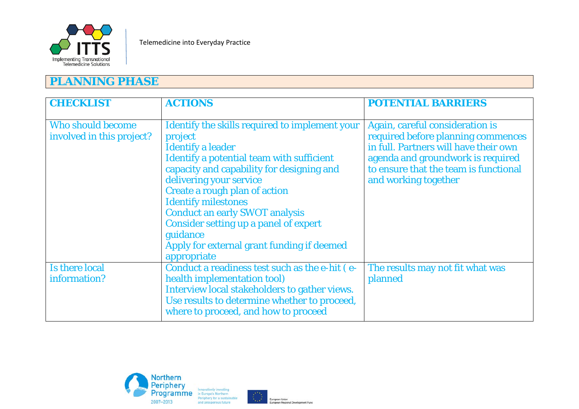

#### **PLANNING PHASE**

| <b>CHECKLIST</b>                                      | <b>ACTIONS</b>                                                                                                                                                                                                                                                                                                                                                                                                                                     | <b>POTENTIAL BARRIERS</b>                                                                                                                                                                                            |
|-------------------------------------------------------|----------------------------------------------------------------------------------------------------------------------------------------------------------------------------------------------------------------------------------------------------------------------------------------------------------------------------------------------------------------------------------------------------------------------------------------------------|----------------------------------------------------------------------------------------------------------------------------------------------------------------------------------------------------------------------|
| <b>Who should become</b><br>involved in this project? | Identify the skills required to implement your<br>project<br><b>Identify a leader</b><br>Identify a potential team with sufficient<br>capacity and capability for designing and<br>delivering your service<br><b>Create a rough plan of action</b><br><b>Identify milestones</b><br><b>Conduct an early SWOT analysis</b><br><b>Consider setting up a panel of expert</b><br>guidance<br>Apply for external grant funding if deemed<br>appropriate | Again, careful consideration is<br>required before planning commences<br>in full. Partners will have their own<br>agenda and groundwork is required<br>to ensure that the team is functional<br>and working together |
| <b>Is there local</b><br>information?                 | Conduct a readiness test such as the e-hit (e-<br>health implementation tool)<br>Interview local stakeholders to gather views.<br>Use results to determine whether to proceed,<br>where to proceed, and how to proceed                                                                                                                                                                                                                             | The results may not fit what was<br>planned                                                                                                                                                                          |



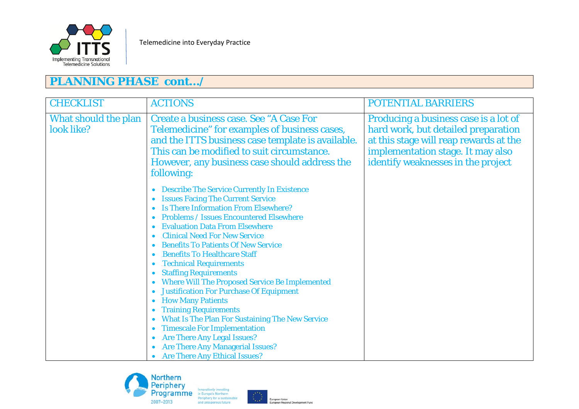

## **PLANNING PHASE cont…/**

| <b>CHECKLIST</b>                   | <b>ACTIONS</b>                                                                                                                                                                                                                                                                                                                                                                                                                                                                                                                                                                                                                                                                                                                                                                                                                          | <b>POTENTIAL BARRIERS</b>                                                                                                                                                                         |
|------------------------------------|-----------------------------------------------------------------------------------------------------------------------------------------------------------------------------------------------------------------------------------------------------------------------------------------------------------------------------------------------------------------------------------------------------------------------------------------------------------------------------------------------------------------------------------------------------------------------------------------------------------------------------------------------------------------------------------------------------------------------------------------------------------------------------------------------------------------------------------------|---------------------------------------------------------------------------------------------------------------------------------------------------------------------------------------------------|
| What should the plan<br>look like? | <b>Create a business case. See "A Case For</b><br>Telemedicine" for examples of business cases,<br>and the ITTS business case template is available.<br>This can be modified to suit circumstance.<br>However, any business case should address the<br>following:                                                                                                                                                                                                                                                                                                                                                                                                                                                                                                                                                                       | Producing a business case is a lot of<br>hard work, but detailed preparation<br>at this stage will reap rewards at the<br>implementation stage. It may also<br>identify weaknesses in the project |
|                                    | <b>Describe The Service Currently In Existence</b><br><b>Issues Facing The Current Service</b><br><b>Is There Information From Elsewhere?</b><br><b>Problems / Issues Encountered Elsewhere</b><br><b>Evaluation Data From Elsewhere</b><br><b>Clinical Need For New Service</b><br><b>Benefits To Patients Of New Service</b><br><b>Benefits To Healthcare Staff</b><br><b>Technical Requirements</b><br><b>Staffing Requirements</b><br><b>Where Will The Proposed Service Be Implemented</b><br><b>Justification For Purchase Of Equipment</b><br><b>How Many Patients</b><br><b>Training Requirements</b><br><b>What Is The Plan For Sustaining The New Service</b><br><b>Timescale For Implementation</b><br><b>Are There Any Legal Issues?</b><br><b>Are There Any Managerial Issues?</b><br><b>Are There Any Ethical Issues?</b> |                                                                                                                                                                                                   |



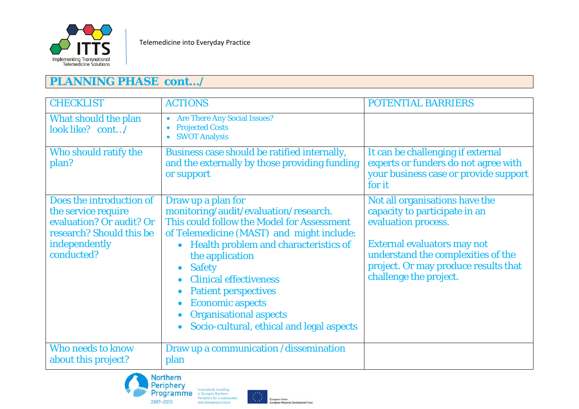

## **PLANNING PHASE cont…/**

| <b>CHECKLIST</b>                                                                                                                       | <b>ACTIONS</b>                                                                                                                                                                                                                                                                                                                                                                                                                         | <b>POTENTIAL BARRIERS</b>                                                                                                                                                                                                     |
|----------------------------------------------------------------------------------------------------------------------------------------|----------------------------------------------------------------------------------------------------------------------------------------------------------------------------------------------------------------------------------------------------------------------------------------------------------------------------------------------------------------------------------------------------------------------------------------|-------------------------------------------------------------------------------------------------------------------------------------------------------------------------------------------------------------------------------|
| What should the plan<br>look like? cont/                                                                                               | • Are There Any Social Issues?<br><b>Projected Costs</b><br><b>SWOT Analysis</b>                                                                                                                                                                                                                                                                                                                                                       |                                                                                                                                                                                                                               |
| Who should ratify the<br>plan?                                                                                                         | Business case should be ratified internally,<br>and the externally by those providing funding<br>or support                                                                                                                                                                                                                                                                                                                            | It can be challenging if external<br>experts or funders do not agree with<br>your business case or provide support<br>for it                                                                                                  |
| Does the introduction of<br>the service require<br>evaluation? Or audit? Or<br>research? Should this be<br>independently<br>conducted? | Draw up a plan for<br>monitoring/audit/evaluation/research.<br>This could follow the Model for Assessment<br>of Telemedicine (MAST) and might include:<br>Health problem and characteristics of<br>$\bullet$<br>the application<br><b>Safety</b><br>$\bullet$<br><b>Clinical effectiveness</b><br><b>Patient perspectives</b><br><b>Economic aspects</b><br><b>Organisational aspects</b><br>Socio-cultural, ethical and legal aspects | Not all organisations have the<br>capacity to participate in an<br>evaluation process.<br>External evaluators may not<br>understand the complexities of the<br>project. Or may produce results that<br>challenge the project. |
| <b>Who needs to know</b><br>about this project?                                                                                        | Draw up a communication /dissemination<br>plan                                                                                                                                                                                                                                                                                                                                                                                         |                                                                                                                                                                                                                               |



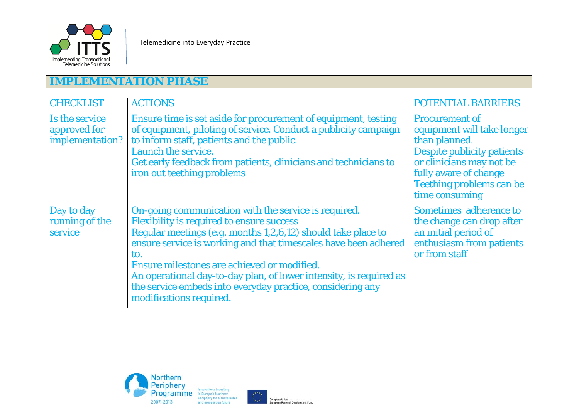

## **IMPLEMENTATION PHASE**

| <b>CHECKLIST</b>                                  | <b>ACTIONS</b>                                                                                                                                                                                                                                                                                                                                                                                                                                                   | <b>POTENTIAL BARRIERS</b>                                                                                                                                                                             |
|---------------------------------------------------|------------------------------------------------------------------------------------------------------------------------------------------------------------------------------------------------------------------------------------------------------------------------------------------------------------------------------------------------------------------------------------------------------------------------------------------------------------------|-------------------------------------------------------------------------------------------------------------------------------------------------------------------------------------------------------|
| Is the service<br>approved for<br>implementation? | Ensure time is set aside for procurement of equipment, testing<br>of equipment, piloting of service. Conduct a publicity campaign<br>to inform staff, patients and the public.<br>Launch the service.<br>Get early feedback from patients, clinicians and technicians to<br>iron out teething problems                                                                                                                                                           | <b>Procurement of</b><br>equipment will take longer<br>than planned.<br>Despite publicity patients<br>or clinicians may not be<br>fully aware of change<br>Teething problems can be<br>time consuming |
| Day to day<br>running of the<br>service           | On-going communication with the service is required.<br><b>Flexibility is required to ensure success</b><br>Regular meetings (e.g. months 1,2,6,12) should take place to<br>ensure service is working and that timescales have been adhered<br>to.<br>Ensure milestones are achieved or modified.<br>An operational day-to-day plan, of lower intensity, is required as<br>the service embeds into everyday practice, considering any<br>modifications required. | Sometimes adherence to<br>the change can drop after<br>an initial period of<br>enthusiasm from patients<br>or from staff                                                                              |